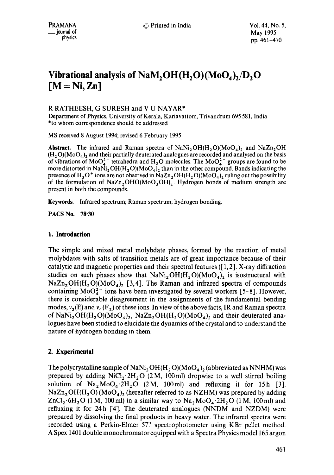# **Vibrational analysis of NaM,**  $OH(H, O)(MO_A)_2/D$ **, O [M = Ni, Zn]**

## R RATHEESH, G SURESH and V U NAYAR\*

Department of Physics, University of Kerala, Kariavattom, Trivandrum 695581, India \*to whom correspondence should be addressed

MS received 8 August 1994; revised 6 February 1995

**Abstract.** The infrared and Raman spectra of  $\text{NaNi}_2\text{OH}(H_2O)(\text{MoO}_4)_2$  and  $\text{NaZn}_2\text{OH}$  $(H_2O)(MoO<sub>4</sub>)<sub>2</sub>$  and their partially deuterated analogues are recorded and analysed on the basis of vibrations of MoO<sub>4</sub><sup>-</sup> tetrahedra and H<sub>2</sub>O molecules. The MoO<sub>4</sub><sup>-</sup> groups are found to be more distorted in NaNi<sub>2</sub>OH(H<sub>2</sub>O)(MoO<sub>4</sub>)<sub>2</sub> than in the other compound. Bands indicating the presence of H<sub>3</sub>O<sup>+</sup> ions are not observed in NaZn<sub>2</sub>OH(H<sub>2</sub>O)(MoO<sub>4</sub>)<sub>2</sub> ruling out the possibility of the formulation of NaZn<sub>2</sub>OHO(MoO<sub>3</sub>OH)<sub>2</sub>. Hydrogen bonds of medium strength are present in both the compounds.

Keywords. Infrared spectrum; Raman spectrum; hydrogen bonding.

PACS No. 78.30

## **1. Introduction**

The simple and mixed metal molybdate phases, formed by the reaction of metal molybdates with salts of transition metals are of great importance because of their catalytic and magnetic properties and their spectral features ([1, 2]. X-ray diffraction studies on such phases show that  $\text{NaNi}_2\text{OH}(H_2O)(\text{MoO}_4)$  is isostructural with  $NaZn<sub>2</sub>OH(H<sub>2</sub>O)(MoO<sub>4</sub>)<sub>2</sub>$  [3,4]. The Raman and infrared spectra of compounds containing  $MoO<sub>4</sub><sup>2</sup>$  ions have been investigated by several workers [5-8]. However, there is considerable disagreement in the assignments of the fundamental bending modes,  $v_2(E)$  and  $v_4(F_2)$  of these ions. In view of the above facts, IR and Raman spectra of  $\text{NaNi}_2\text{OH}(H_2\text{O})(\text{MoO}_4)_2$ ,  $\text{NaZn}_2\text{OH}(H_2\text{O})(\text{MoO}_4)_2$  and their deuterated analogues have been studied to elucidate the dynamics of the crystal and to understand the nature of hydrogen bonding in them.

## **2. Experimental**

The polycrystalline sample of NaNi<sub>2</sub>OH(H<sub>2</sub>O)(MoO<sub>4</sub>)<sub>2</sub> (abbreviated as NNHM) was prepared by adding  $NiCl<sub>2</sub>·2H<sub>2</sub>O$  (2M, 100ml) dropwise to a well stirred boiling solution of  $Na<sub>2</sub>MoO<sub>4</sub>·2H<sub>2</sub>O$  (2M, 100ml) and refluxing it for 15h [3].  $NaZn<sub>2</sub>OH(H<sub>2</sub>O)(MoO<sub>4</sub>)<sub>2</sub>$  (hereafter referred to as NZHM) was prepared by adding  $ZnCl_2: 6H_2O$  (1 M, 100 ml) in a similar way to  $Na_2MoO_4:2H_2O$  (1 M, 100 ml) and refluxing it for 24h [4]. The deuterated analogues (NNDM and NZDM) were prepared by dissolving the final products in heavy water. The infrared spectra were recorded using a Perkin-Elmer 577 spectrophotometer using KBr pellet method. A Spex 1401 double monochromator equipped with a Spectra Physics model 165 argon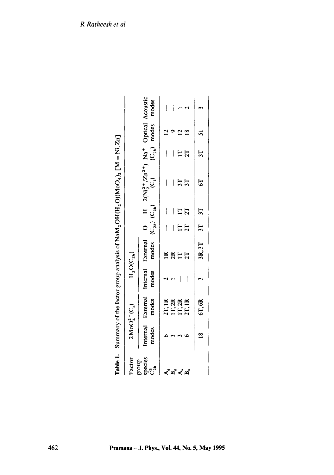|                       |               |                  |                |              |             | Table 1. Summary of the factor group analysis of NaM <sub>2</sub> OH(H <sub>2</sub> O)(MoO <sub>4</sub> ) <sub>2</sub> [M = Ni, Zn].                                            |    |       |  |
|-----------------------|---------------|------------------|----------------|--------------|-------------|---------------------------------------------------------------------------------------------------------------------------------------------------------------------------------|----|-------|--|
| Factor                |               | $2MoO42(C3)$     | $H_2O(C_{2h})$ |              |             |                                                                                                                                                                                 |    |       |  |
| species<br>group<br>ೈ |               |                  |                |              |             | Internal External Internal External O H $2(Ni_2^2+/Zn^2^+)$ Na <sup>+</sup> Optical Acoustic<br>modes modes modes modes $(C_{2n})$ $(C_{2n})$ $(C_{2n})$ $(C_{2n})$ modes modes |    |       |  |
|                       |               |                  |                |              |             |                                                                                                                                                                                 |    |       |  |
|                       |               | 2T, IR<br>1T, 2R |                | 2R           |             |                                                                                                                                                                                 |    |       |  |
| ∢໊≃໊≺໋¤໊              |               |                  |                | $\mathbf{H}$ | <u>ដុ</u> ក |                                                                                                                                                                                 |    |       |  |
|                       |               | IT, 2R<br>2T, 1R |                | 2T           |             | 3T                                                                                                                                                                              | 2T |       |  |
|                       | $\frac{8}{1}$ | 6T, 6R           | $\overline{1}$ | 3R, 3T 3T 3T |             | 5                                                                                                                                                                               |    | 3T 51 |  |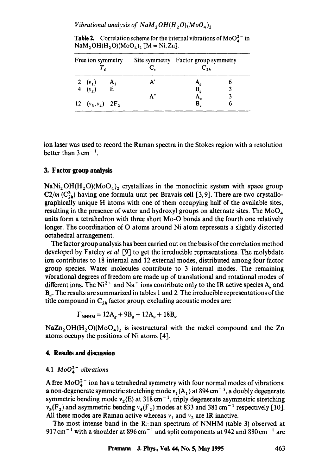*Vibrational analysis of NaM*<sub>2</sub> $OH(H_2O)(MoO<sub>4</sub>)$ <sub>2</sub>

**Table 2.** Correlation scheme for the internal vibrations of  $MoO<sub>4</sub><sup>2</sup>$  in  $\text{NaM}_2\text{OH}(\text{H}_2\text{O})(\text{MoO}_4)$ <sub>2</sub> [M = Ni, Zn].

| Free ion symmetry               |       |    | Site symmetry Factor group symmetry  |  |  |  |  |  |
|---------------------------------|-------|----|--------------------------------------|--|--|--|--|--|
| 2 $(v_1)$                       | $A_1$ |    |                                      |  |  |  |  |  |
| 4 $(v_2)$                       | E     |    | $\mathbf{A}_{g}$<br>$\mathbf{B}_{g}$ |  |  |  |  |  |
|                                 |       | А" | A.,                                  |  |  |  |  |  |
| 12 $(v_3, v_4)$ 2F <sub>2</sub> |       |    | B,                                   |  |  |  |  |  |

ion laser was used to record the Raman spectra in the Stokes region with a resolution better than  $3 \text{ cm}^{-1}$ .

## **3. Factor group analysis**

 $\text{NaNi}_2\text{OH}(H_2\text{O})(\text{MoO}_4)_2$  crystallizes in the monoclinic system with space group  $C2/m$   $(C_{2h}^3)$  having one formula unit per Bravais cell [3, 9]. There are two crystallographically unique H atoms with one of them occupying half of the available sites, resulting in the presence of water and hydroxyl groups on alternate sites. The  $MoO<sub>4</sub>$ units form a tetrahedron with three short Mo-O bonds and the fourth one relatively longer. The coordination of O atoms around Ni atom represents a slightly distorted octahedral arrangement.

The factor group analysis has been carried out on the basis of the correlation method developed by Fateley *et al* [9] to get the irreducible representations. The molybdate ion contributes to 18 internal and 12 external modes, distributed among four factor group species. Water molecules contribute to 3 internal modes. The remaining vibrational degrees of freedom are made up of translational and rotational modes of different ions. The Ni<sup>2+</sup> and Na<sup>+</sup> ions contribute only to the IR active species  $A<sub>u</sub>$  and  $B_{\mu}$ . The results are summarized in tables 1 and 2. The irreducible representations of the title compound in  $C_{2h}$  factor group, excluding acoustic modes are:

 $\Gamma_{\text{NNHM}} = 12A_a + 9B_a + 12A_u + 18B_u$ 

 $NaZn<sub>2</sub>OH(H<sub>2</sub>O)(MoO<sub>4</sub>)<sub>2</sub>$  is isostructural with the nickel compound and the Zn atoms occupy the positions of Ni atoms [4].

## **4. Results and discussion**

## 4.1  $MoO<sub>4</sub><sup>2</sup>$  vibrations

A free  $MoO<sub>4</sub><sup>2</sup>$  ion has a tetrahedral symmetry with four normal modes of vibrations: a non-degenerate symmetric stretching mode  $v_1(A_1)$  at 894 cm<sup>-1</sup>, a doubly degenerate symmetric bending mode  $v_2(E)$  at 318 cm<sup>-1</sup>, triply degenerate asymmetric stretching  $v_3(F_2)$  and asymmetric bending  $v_4(F_2)$  modes at 833 and 381 cm<sup>-1</sup> respectively [10]. All these modes are Raman active whereas  $v_1$  and  $v_2$  are IR inactive.

The most intense band in the R::man spectrum of NNHM (table 3) observed at 917 cm<sup>-1</sup> with a shoulder at 896 cm<sup>-1</sup> and split components at 942 and 880 cm<sup>-1</sup> are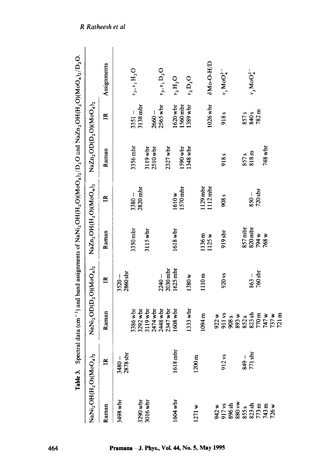|                                                                                                           | Table 3. Spectral     |                       |                   |                                               |                      |                                                              |                      | data (cm <sup>-1</sup> ) and band assignments of NaNi, OH(H <sub>2</sub> O)(MoO <sub>4</sub> ) <sub>2</sub> /D <sub>2</sub> O and NaZn <sub>2</sub> OH(H <sub>2</sub> O)(MoO <sub>4</sub> ) <sub>2</sub> /D <sub>2</sub> O. |
|-----------------------------------------------------------------------------------------------------------|-----------------------|-----------------------|-------------------|-----------------------------------------------|----------------------|--------------------------------------------------------------|----------------------|-----------------------------------------------------------------------------------------------------------------------------------------------------------------------------------------------------------------------------|
| NaNi2OH(H2O)(MoO4)2                                                                                       |                       | $NaNi2OD(D2O)(MoO4)2$ |                   | $\text{NaZn}_2\text{OH(H}_2\text{O)(MO}_4)_2$ |                      | $\text{NaZn}_2\text{OD}(\text{D}_2\text{O})(\text{MoO}_4)_2$ |                      |                                                                                                                                                                                                                             |
| Raman                                                                                                     | $\mathbb{R}$          | Raman                 | $\mathbb{R}$      | Raman                                         | $\mathbf{\tilde{z}}$ | Raman                                                        | $\mathbb{R}$         | Assignments                                                                                                                                                                                                                 |
| 3498 wbr                                                                                                  | $3480 - 2878$ sbr     |                       | $3520 -$          |                                               |                      |                                                              |                      |                                                                                                                                                                                                                             |
|                                                                                                           |                       |                       | 2860 sbr          |                                               |                      |                                                              |                      |                                                                                                                                                                                                                             |
|                                                                                                           |                       | 3386 wbr              |                   | 3350 mbr                                      | $3380 -$             | 3356 mbr                                                     | $3351 -$             | $v_3, v_1 H_2 O$                                                                                                                                                                                                            |
| 3290 wbr                                                                                                  |                       | 3292 wbr              |                   |                                               | $2820$ mbr           |                                                              | 3138 mbr             |                                                                                                                                                                                                                             |
| 3016 wbr                                                                                                  |                       | 3119 wbr              |                   | 3115 wbr                                      |                      | $3119$ wbr                                                   |                      |                                                                                                                                                                                                                             |
|                                                                                                           |                       | 2474 wbr              |                   |                                               |                      | $2510$ wbr                                                   | $2660 -$             |                                                                                                                                                                                                                             |
|                                                                                                           |                       | 2448 wbr              | $2240 -$          |                                               |                      |                                                              | 2565 wbr             | $v_3, v_1 D_2 O$                                                                                                                                                                                                            |
|                                                                                                           |                       | $2347$ wbr            | $2030$ mbr        |                                               |                      | $2327$ wbr                                                   |                      |                                                                                                                                                                                                                             |
| 1604 wbr                                                                                                  | 1618 mbr              | 1608 wbr              | $1625$ mbr        | 1618 wbr                                      | 1610w                |                                                              | 1620 wbr             | $v_2\,\mathrm{H}_2\mathrm{O}$                                                                                                                                                                                               |
|                                                                                                           |                       |                       |                   |                                               | $1570$ mbr           | 1590 wbr                                                     |                      |                                                                                                                                                                                                                             |
|                                                                                                           |                       | $1333$ wbr            | 1380 <sub>w</sub> |                                               |                      | 1348 wbr                                                     | 1560 mbr<br>1389 wbr | $v_2 D_2 O$                                                                                                                                                                                                                 |
| 1271w                                                                                                     | $1200 \text{ m}$      |                       |                   |                                               |                      |                                                              |                      |                                                                                                                                                                                                                             |
|                                                                                                           |                       | 1094 m                | 1110 m            | 1136 m                                        | $129$ mbr            |                                                              |                      |                                                                                                                                                                                                                             |
|                                                                                                           |                       |                       |                   | 1125w                                         | $1112$ mbr           |                                                              | 1026 wbr             | $\delta M_0$ -O-H/D                                                                                                                                                                                                         |
|                                                                                                           |                       | 922 w                 |                   |                                               |                      |                                                              |                      |                                                                                                                                                                                                                             |
|                                                                                                           | 912 vs                | 911 vs                | 920 vs            | $919$ sbr                                     | 908 <sub>s</sub>     | 918 <sub>s</sub>                                             | 918 <sub>s</sub>     | $v_1$ MoO <sup>2-</sup>                                                                                                                                                                                                     |
|                                                                                                           |                       | 908 <sub>s</sub>      |                   |                                               |                      |                                                              |                      |                                                                                                                                                                                                                             |
|                                                                                                           |                       | 893 w                 |                   |                                               |                      |                                                              |                      |                                                                                                                                                                                                                             |
|                                                                                                           |                       | 852s                  |                   | 857 mbr                                       |                      | 857 <sub>s</sub>                                             | 857 <sub>s</sub>     |                                                                                                                                                                                                                             |
| $3738$<br>$3538$<br>$3535$<br>$3535$<br>$3535$<br>$3535$<br>$3535$<br>$3535$<br>$3535$<br>$358$<br>$3535$ | $\frac{149}{771}$ sbr | 823 sh                | $863 -$           | $820$ mbr                                     | $850 -$              | 818 m                                                        | 840s                 | $v_3$ MoO <sup>2</sup> <sup>-</sup>                                                                                                                                                                                         |
|                                                                                                           |                       | 770 m                 | 760 sbr           | 794 w                                         | $720$ sbr            |                                                              | 782m                 |                                                                                                                                                                                                                             |
|                                                                                                           |                       | 747 w                 |                   | 768 w                                         |                      | 748 wbr                                                      |                      |                                                                                                                                                                                                                             |
|                                                                                                           |                       | 737 w                 |                   |                                               |                      |                                                              |                      |                                                                                                                                                                                                                             |
|                                                                                                           |                       | $721 \text{ m}$       |                   |                                               |                      |                                                              |                      |                                                                                                                                                                                                                             |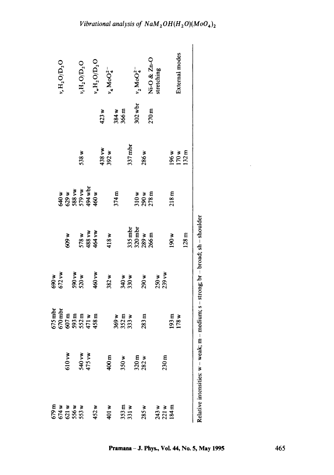|                                       | $v_{\rm r} {\rm H_2O} / {\rm D_2O}$ |                   | 0 <sub>2</sub> H <sub>2</sub>                  |                           | $v_{\rm w} {\rm H}_2 {\rm O}/{\rm D}_2 {\rm O}$ |       | $v_4$ MoO <sub>4</sub> <sup>-</sup> |      |                         |                | $v_2$ MoO <sub>4</sub> <sup>-</sup>  |                  | Ni-O & Zn-O                           | stretching |                         |                  | External modes          |                  |                                                       |
|---------------------------------------|-------------------------------------|-------------------|------------------------------------------------|---------------------------|-------------------------------------------------|-------|-------------------------------------|------|-------------------------|----------------|--------------------------------------|------------------|---------------------------------------|------------|-------------------------|------------------|-------------------------|------------------|-------------------------------------------------------|
|                                       |                                     |                   |                                                |                           |                                                 | 423 w |                                     |      | 384 w<br>366 m          |                | $302$ wbr                            |                  | 270m                                  |            |                         |                  |                         |                  |                                                       |
|                                       |                                     |                   | 538 w                                          |                           |                                                 |       | 438 vw<br>392 w                     |      |                         | $337$ mbr      |                                      | 286w             |                                       |            |                         |                  | 196 w<br>170 w<br>132 m |                  |                                                       |
|                                       |                                     |                   | 640 w<br>629 w<br>538 vw<br>579 wbr<br>494 wbr |                           | 460 w                                           |       |                                     | 374m |                         |                |                                      |                  | $\frac{310 \text{ w}}{278 \text{ m}}$ |            |                         | 218m             |                         |                  |                                                       |
|                                       |                                     | 609 w             |                                                | 578 w<br>488 vw<br>464 vw |                                                 |       | 418w                                |      |                         |                | 335 mbr<br>320 mbr<br>289 w<br>266 m |                  |                                       |            |                         | 190 w            |                         | 128 <sub>m</sub> | $-$ medium; s - strong; br $-$ broad; sh $-$ shoulder |
| 690 w                                 | 672 vw                              |                   | 590 vw<br>520 w                                |                           | 460 vw                                          |       | 382w                                |      |                         | 340 w<br>330 w |                                      | 290 <sub>W</sub> |                                       |            | $250w$<br>$239vw$       |                  |                         |                  |                                                       |
| $675$ mbr                             | $670$ mbr                           |                   | 607 m<br>593 m<br>593 m<br>458 m<br>458 m      |                           |                                                 |       |                                     |      | 369 w<br>352 m<br>333 w |                |                                      | 283m             |                                       |            |                         | 193 <sub>m</sub> | 178w                    |                  |                                                       |
|                                       |                                     | 510 <sub>vw</sub> |                                                | 540 vw                    |                                                 |       | $400 \text{ m}$                     |      | 350 <sub>w</sub>        |                |                                      | $320m$<br>$282w$ |                                       |            | 230 <sub>m</sub>        |                  |                         |                  | Relative intensities: w - weak; m                     |
| 879 m<br>674 w x x 673<br>674 w x 353 |                                     |                   |                                                |                           | 452w                                            |       | 401 w                               |      |                         | 353 m<br>331 w |                                      | 285w             |                                       |            | 243 w<br>221 w<br>184 m |                  |                         |                  |                                                       |

al analysis of  $N$ a $M$ <sub>2</sub> $OH$ <sup> $(H$ </sup><sub>2</sub>

 $\Delta$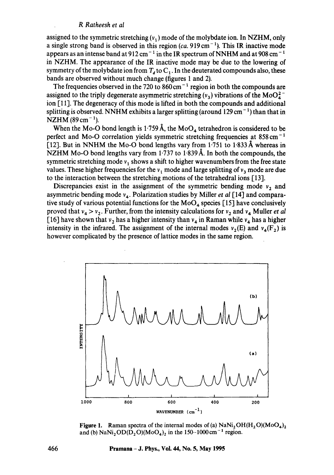assigned to the symmetric stretching  $(v_1)$  mode of the molybdate ion. In NZHM, only a single strong band is observed in this region  $(ca. 919 cm<sup>-1</sup>)$ . This IR inactive mode appears as an intense band at  $912 \text{ cm}^{-1}$  in the IR spectrum of NNHM and at  $908 \text{ cm}^{-1}$ in NZHM. The appearance of the IR inactive mode may be due to the lowering of symmetry of the molybdate ion from  $T<sub>d</sub>$  to  $C<sub>1</sub>$ . In the deuterated compounds also, these bands are observed without much change (figures 1 and 2).

The frequencies observed in the 720 to  $860 \text{ cm}^{-1}$  region in both the compounds are assigned to the triply degenerate asymmetric stretching  $(v_3)$  vibrations of the MoO<sub>2</sub><sup>-</sup> ion [11]. The degeneracy of this mode is lifted in both the compounds and additional splitting is observed. NNHM exhibits a larger splitting (around 129 cm<sup> $-1$ </sup>) than that in  $NZHM (89 cm<sup>-1</sup>).$ 

When the Mo-O bond length is 1.759 Å, the MoO<sub>4</sub> tetrahedron is considered to be perfect and Mo-O correlation yields symmetric stretching frequencies at 858 cm<sup>-1</sup>  $[12]$ . But in NNHM the Mo-O bond lengths vary from 1.751 to 1.833 Å whereas in NZHM Mo-O bond lengths vary from 1.737 to 1.839 Å. In both the compounds, the symmetric stretching mode  $v_1$  shows a shift to higher wavenumbers from the free state values. These higher frequencies for the  $v_1$  mode and large splitting of  $v_3$  mode are due to the interaction between the stretching motions of the tetrahedral ions [13].

Discrepancies exist in the assignment of the symmetric bending mode  $v<sub>2</sub>$  and asymmetric bending mode  $v_4$ . Polarization studies by Miller *et al* [14] and comparative study of various potential functions for the  $MoO<sub>4</sub>$  species [15] have conclusively proved that  $v_4 > v_2$ . Further, from the intensity calculations for  $v_2$  and  $v_4$  Muller *et al* [16] have shown that  $v_2$  has a higher intensity than  $v_4$  in Raman while  $v_4$  has a higher intensity in the infrared. The assignment of the internal modes  $v_2(E)$  and  $v_4(F_2)$  is however complicated by the presence of lattice modes in the same region.



**Figure 1.** Raman spectra of the internal modes of (a)  $\text{NaNi}_2\text{OH}(H_2\text{O})(\text{MoO}_4)_2$ and (b)  $\text{NaNi}_2\text{OD}(\text{D}_2\text{O})(\text{MoO}_4)_2$  in the 150-1000 cm<sup>-1</sup> region.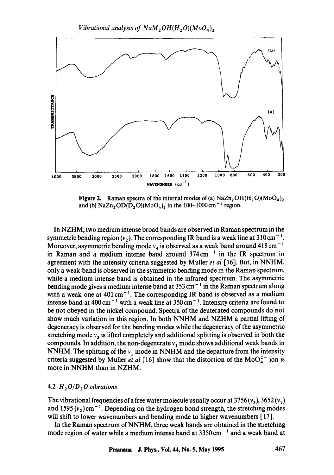

**Figure 2.** Raman spectra of the internal modes of (a)  $NaZn<sub>2</sub>OH(H<sub>2</sub>O)(MoO<sub>4</sub>)<sub>2</sub>$ and (b)  $\text{NaZn}_2\text{OD}(\text{D}_2\text{O})(\text{MoO}_4)_2$  in the 100-1000 cm<sup>-1</sup> region.

In NZHM, two medium intense broad bands are observed in Raman spectrum in the symmetric bending region  $(v_2)$ . The corresponding IR band is a weak line at 310 cm<sup>-1</sup>. Moreover, asymmetric bending mode  $v_4$  is observed as a weak band around 418 cm<sup>-1</sup> in Raman and a medium intense band around  $374 \text{ cm}^{-1}$  in the IR spectrum in agreement with the intensity criteria suggested by Muller *et al* [16]. But, in NNHM, only a weak band is observed in the symmetric bending mode in the Raman spectrum, while a medium intense band is obtained in the infrared spectrum. The asymmetric bending mode gives a medium intense band at  $353 \text{ cm}^{-1}$  in the Raman spectrum along with a weak one at  $401 \text{ cm}^{-1}$ . The corresponding IR band is observed as a medium intense band at  $400 \text{ cm}^{-1}$  with a weak line at  $350 \text{ cm}^{-1}$ . Intensity criteria are found to be not obeyed in the nickel compound. Spectra of the deuterated compounds do not show much variation in this region. In both NNHM and NZHM a partial lifting of degeneracy is observed for the bending modes while the degeneracy of the asymmetric stretching mode  $v_3$  is lifted completely and additional splitting is observed in both the compounds. In addition, the non-degenerate  $v_1$  mode shows additional weak bands in NNHM. The splitting of the  $v_1$  mode in NNHM and the departure from the intensity criteria suggested by Muller *et al* [16] show that the distortion of the MoO $^{2-}_{4}$  ion is more in NNHM than in NZHM.

## 4.2  $H_2O/D_2O$  vibrations

The vibrational frequencies of a free water molecule usually occur at  $3756(v_3)$ ,  $3652(v_1)$ and 1595  $(v_2)$ cm<sup>-1</sup>. Depending on the hydrogen bond strength, the stretching modes will shift to lower wavenumbers and bending mode to higher wavenumbers [17].

In the Raman spectrum of NNHM, three weak bands are obtained in the stretching mode region of water while a medium intense band at  $3350 \text{ cm}^{-1}$  and a weak band at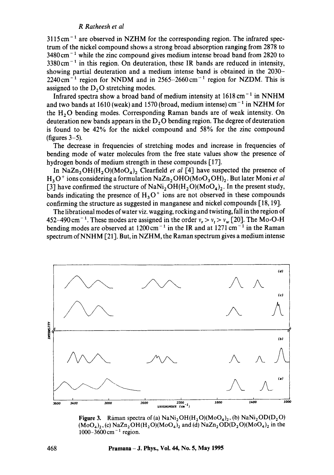$3115 \text{ cm}^{-1}$  are observed in NZHM for the corresponding region. The infrared spectrum of the nickel compound shows a strong broad absorption ranging from 2878 to  $3480 \text{ cm}^{-1}$  while the zinc compound gives medium intense broad band from 2820 to  $3380 \text{ cm}^{-1}$  in this region. On deuteration, these IR bands are reduced in intensity, showing partial deuteration and a medium intense band is obtained in the 2030-  $2240 \text{ cm}^{-1}$  region for NNDM and in 2565-2660 cm<sup>-1</sup> region for NZDM. This is assigned to the  $D<sub>2</sub>O$  stretching modes.

Infrared spectra show a broad band of medium intensity at  $1618 \text{ cm}^{-1}$  in NNHM and two bands at 1610 (weak) and 1570 (broad, medium intense) cm<sup>-1</sup> in NZHM for the  $H<sub>2</sub>O$  bending modes. Corresponding Raman bands are of weak intensity. On deuteration new bands appears in the  $D_2\overline{O}$  bending region. The degree of deuteration is found to be 42% for the nickel compound and 58% for the zinc compound (figures  $3-5$ ).

The decrease in frequencies of stretching modes and increase in frequencies of bending mode of water molecules from the free state values show the presence of hydrogen bonds of medium strength in these compounds [17].

In NaZn<sub>2</sub>OH(H<sub>2</sub>O)(MoO<sub>4</sub>)<sub>2</sub> Clearfield *et al* [4] have suspected the presence of  $H_3O^+$  ions considering a formulation NaZn<sub>2</sub>OHO(MoO<sub>3</sub>OH)<sub>2</sub>. But later Moni *et al* [3] have confirmed the structure of NaNi<sub>2</sub>OH(H<sub>2</sub>O)(MoO<sub>4</sub>)<sub>2</sub>. In the present study, bands indicating the presence of  $H_3 O^+$  ions are not observed in these compounds confirming the structure as suggested in manganese and nickel compounds [18, 19].

The librational modes of water viz. wagging, rocking and twisting, fall in tho region of 452-490 cm<sup>-1</sup>. These modes are assigned in the order  $v_r > v_t > v_w$  [20]. The Mo-O-H bending modes are observed at  $1200 \text{ cm}^{-1}$  in the IR and at  $1271 \text{ cm}^{-1}$  in the Raman spectrum of NNHM [21]. But, in NZHM, the Raman spectrum gives a medium intense



Figure 3. Raman spectra of (a) NaNi<sub>2</sub>OH(H<sub>2</sub>O)(MoO<sub>4</sub>)<sub>2</sub>, (b) NaNi<sub>2</sub>OD(D<sub>2</sub>O)  $(M_0O_4)_2$ , (c) NaZn<sub>2</sub>OH(H<sub>2</sub>O)(MoO<sub>4</sub>)<sub>2</sub> and (d) NaZn<sub>2</sub>OD(D<sub>2</sub>O)(MoO<sub>4</sub>)<sub>2</sub> in the  $1000 - 3600$  cm<sup>-1</sup> region.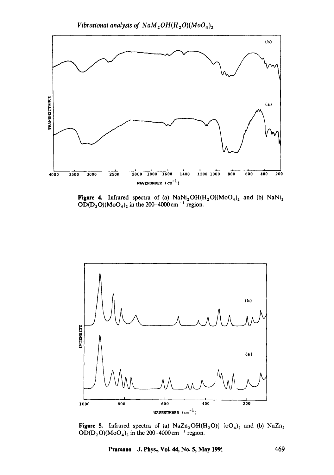*Vibrational analysis of NaM*<sub>2</sub> $OH(H_2O)(MoO<sub>4</sub>)<sub>2</sub>$ 



Figure 4. Infrared spectra of (a)  $NaNi_2OH(H_2O)(M_0O_4)_2$  and (b)  $NaNi_2$  $OD(D_2O)(MoO<sub>4</sub>)<sub>2</sub>$  in the 200–4000 cm<sup>-1</sup> region.



Figure 5. Infrared spectra of (a)  $NaZn_2OH(H_2O)(~\text{ioO}_4)_2$  and (b)  $NaZn_2$  $OD(D_2O)(MoO<sub>4</sub>)<sub>2</sub>$  in the 200-4000 cm<sup>-1</sup> region.

**Pramana - J. Phys., Vol. 44, No. 5, May 199. ~ 469**